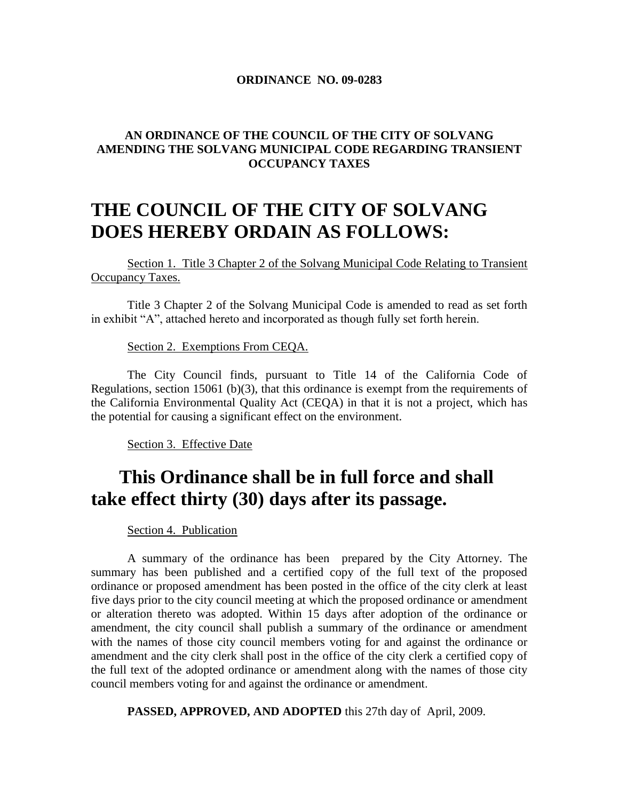#### **ORDINANCE NO. 09-0283**

#### **AN ORDINANCE OF THE COUNCIL OF THE CITY OF SOLVANG AMENDING THE SOLVANG MUNICIPAL CODE REGARDING TRANSIENT OCCUPANCY TAXES**

#### **THE COUNCIL OF THE CITY OF SOLVANG DOES HEREBY ORDAIN AS FOLLOWS:**

Section 1. Title 3 Chapter 2 of the Solvang Municipal Code Relating to Transient Occupancy Taxes.

Title 3 Chapter 2 of the Solvang Municipal Code is amended to read as set forth in exhibit "A", attached hereto and incorporated as though fully set forth herein.

Section 2. Exemptions From CEQA.

The City Council finds, pursuant to Title 14 of the California Code of Regulations, section 15061 (b)(3), that this ordinance is exempt from the requirements of the California Environmental Quality Act (CEQA) in that it is not a project, which has the potential for causing a significant effect on the environment.

Section 3. Effective Date

#### **This Ordinance shall be in full force and shall take effect thirty (30) days after its passage.**

Section 4. Publication

A summary of the ordinance has been prepared by the City Attorney. The summary has been published and a certified copy of the full text of the proposed ordinance or proposed amendment has been posted in the office of the city clerk at least five days prior to the city council meeting at which the proposed ordinance or amendment or alteration thereto was adopted. Within 15 days after adoption of the ordinance or amendment, the city council shall publish a summary of the ordinance or amendment with the names of those city council members voting for and against the ordinance or amendment and the city clerk shall post in the office of the city clerk a certified copy of the full text of the adopted ordinance or amendment along with the names of those city council members voting for and against the ordinance or amendment.

**PASSED, APPROVED, AND ADOPTED** this 27th day of April, 2009.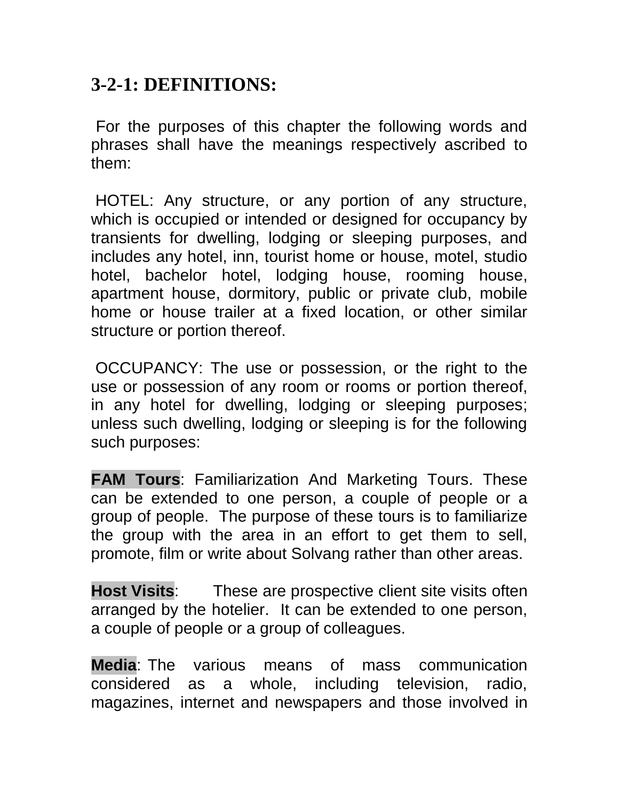#### **3-2-1: DEFINITIONS:**

For the purposes of this chapter the following words and phrases shall have the meanings respectively ascribed to them:

HOTEL: Any structure, or any portion of any structure, which is occupied or intended or designed for occupancy by transients for dwelling, lodging or sleeping purposes, and includes any hotel, inn, tourist home or house, motel, studio hotel, bachelor hotel, lodging house, rooming house, apartment house, dormitory, public or private club, mobile home or house trailer at a fixed location, or other similar structure or portion thereof.

OCCUPANCY: The use or possession, or the right to the use or possession of any room or rooms or portion thereof, in any hotel for dwelling, lodging or sleeping purposes; unless such dwelling, lodging or sleeping is for the following such purposes:

**FAM Tours**: Familiarization And Marketing Tours. These can be extended to one person, a couple of people or a group of people. The purpose of these tours is to familiarize the group with the area in an effort to get them to sell, promote, film or write about Solvang rather than other areas.

**Host Visits**: These are prospective client site visits often arranged by the hotelier. It can be extended to one person, a couple of people or a group of colleagues.

**Media**: The various means of mass communication considered as a whole, including television, radio, magazines, internet and newspapers and those involved in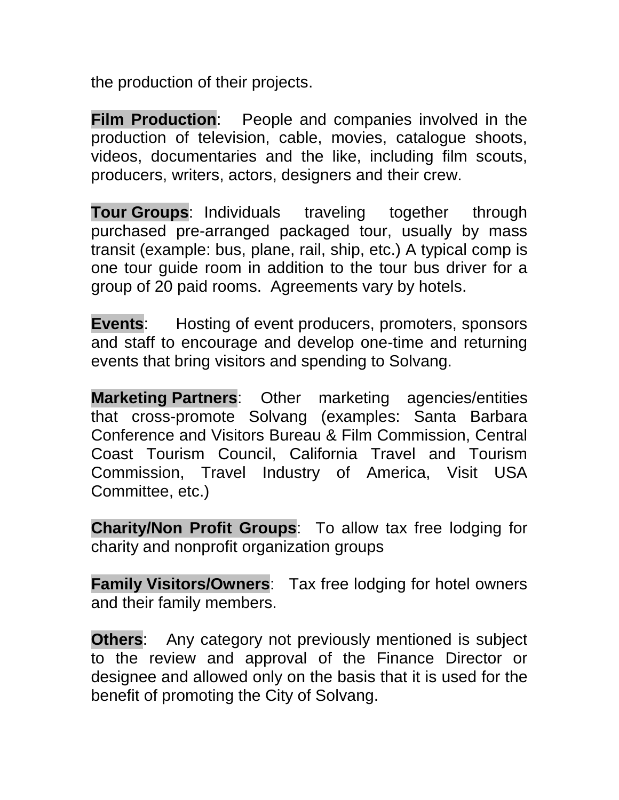the production of their projects.

**Film Production**: People and companies involved in the production of television, cable, movies, catalogue shoots, videos, documentaries and the like, including film scouts, producers, writers, actors, designers and their crew.

**Tour Groups**: Individuals traveling together through purchased pre-arranged packaged tour, usually by mass transit (example: bus, plane, rail, ship, etc.) A typical comp is one tour guide room in addition to the tour bus driver for a group of 20 paid rooms. Agreements vary by hotels.

**Events:** Hosting of event producers, promoters, sponsors and staff to encourage and develop one-time and returning events that bring visitors and spending to Solvang.

**Marketing Partners**: Other marketing agencies/entities that cross-promote Solvang (examples: Santa Barbara Conference and Visitors Bureau & Film Commission, Central Coast Tourism Council, California Travel and Tourism Commission, Travel Industry of America, Visit USA Committee, etc.)

**Charity/Non Profit Groups**: To allow tax free lodging for charity and nonprofit organization groups

**Family Visitors/Owners**: Tax free lodging for hotel owners and their family members.

**Others:** Any category not previously mentioned is subject to the review and approval of the Finance Director or designee and allowed only on the basis that it is used for the benefit of promoting the City of Solvang.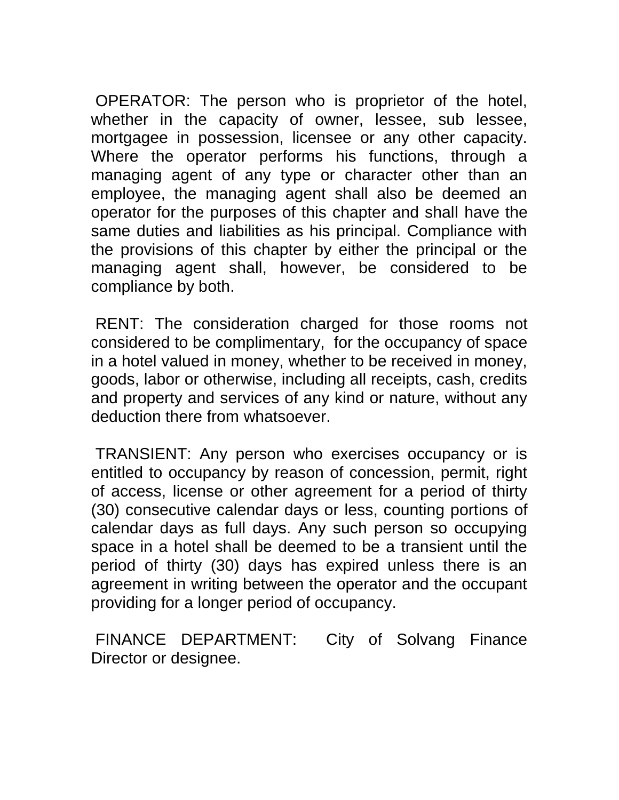OPERATOR: The person who is proprietor of the hotel, whether in the capacity of owner, lessee, sub lessee, mortgagee in possession, licensee or any other capacity. Where the operator performs his functions, through a managing agent of any type or character other than an employee, the managing agent shall also be deemed an operator for the purposes of this chapter and shall have the same duties and liabilities as his principal. Compliance with the provisions of this chapter by either the principal or the managing agent shall, however, be considered to be compliance by both.

RENT: The consideration charged for those rooms not considered to be complimentary, for the occupancy of space in a hotel valued in money, whether to be received in money, goods, labor or otherwise, including all receipts, cash, credits and property and services of any kind or nature, without any deduction there from whatsoever.

TRANSIENT: Any person who exercises occupancy or is entitled to occupancy by reason of concession, permit, right of access, license or other agreement for a period of thirty (30) consecutive calendar days or less, counting portions of calendar days as full days. Any such person so occupying space in a hotel shall be deemed to be a transient until the period of thirty (30) days has expired unless there is an agreement in writing between the operator and the occupant providing for a longer period of occupancy.

FINANCE DEPARTMENT: City of Solvang Finance Director or designee.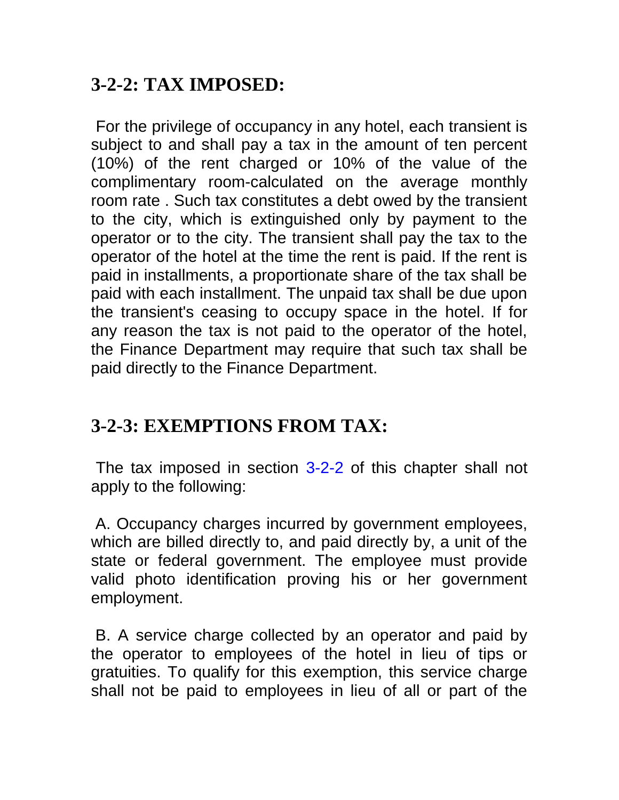## **3-2-2: TAX IMPOSED:**

For the privilege of occupancy in any hotel, each transient is subject to and shall pay a tax in the amount of ten percent (10%) of the rent charged or 10% of the value of the complimentary room-calculated on the average monthly room rate . Such tax constitutes a debt owed by the transient to the city, which is extinguished only by payment to the operator or to the city. The transient shall pay the tax to the operator of the hotel at the time the rent is paid. If the rent is paid in installments, a proportionate share of the tax shall be paid with each installment. The unpaid tax shall be due upon the transient's ceasing to occupy space in the hotel. If for any reason the tax is not paid to the operator of the hotel, the Finance Department may require that such tax shall be paid directly to the Finance Department.

# **3-2-3: EXEMPTIONS FROM TAX:**

The tax imposed in section [3-2-2 o](http://66.113.195.234/CA/Solvang/04002000000002000.htm#3-2-2)f this chapter shall not apply to the following:

A. Occupancy charges incurred by government employees, which are billed directly to, and paid directly by, a unit of the state or federal government. The employee must provide valid photo identification proving his or her government employment.

B. A service charge collected by an operator and paid by the operator to employees of the hotel in lieu of tips or gratuities. To qualify for this exemption, this service charge shall not be paid to employees in lieu of all or part of the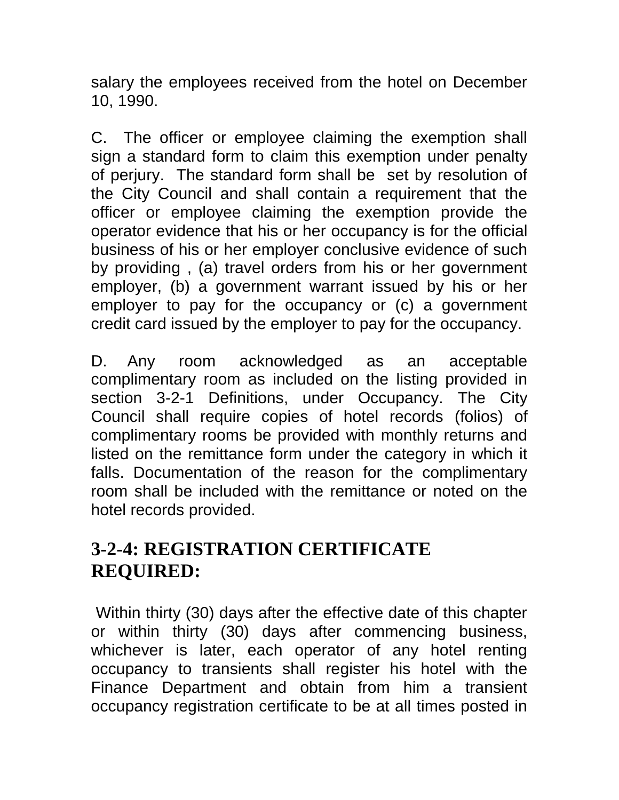salary the employees received from the hotel on December 10, 1990.

C. The officer or employee claiming the exemption shall sign a standard form to claim this exemption under penalty of perjury. The standard form shall be set by resolution of the City Council and shall contain a requirement that the officer or employee claiming the exemption provide the operator evidence that his or her occupancy is for the official business of his or her employer conclusive evidence of such by providing , (a) travel orders from his or her government employer, (b) a government warrant issued by his or her employer to pay for the occupancy or (c) a government credit card issued by the employer to pay for the occupancy.

D. Any room acknowledged as an acceptable complimentary room as included on the listing provided in section 3-2-1 Definitions, under Occupancy. The City Council shall require copies of hotel records (folios) of complimentary rooms be provided with monthly returns and listed on the remittance form under the category in which it falls. Documentation of the reason for the complimentary room shall be included with the remittance or noted on the hotel records provided.

## **3-2-4: REGISTRATION CERTIFICATE REQUIRED:**

Within thirty (30) days after the effective date of this chapter or within thirty (30) days after commencing business, whichever is later, each operator of any hotel renting occupancy to transients shall register his hotel with the Finance Department and obtain from him a transient occupancy registration certificate to be at all times posted in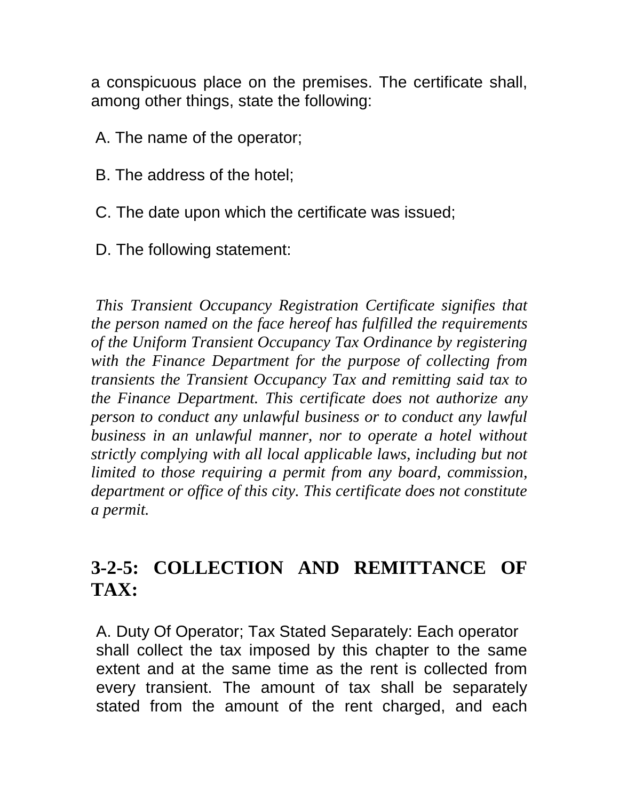a conspicuous place on the premises. The certificate shall, among other things, state the following:

A. The name of the operator;

- B. The address of the hotel;
- C. The date upon which the certificate was issued;
- D. The following statement:

*This Transient Occupancy Registration Certificate signifies that the person named on the face hereof has fulfilled the requirements of the Uniform Transient Occupancy Tax Ordinance by registering with the Finance Department for the purpose of collecting from transients the Transient Occupancy Tax and remitting said tax to the Finance Department. This certificate does not authorize any person to conduct any unlawful business or to conduct any lawful business in an unlawful manner, nor to operate a hotel without strictly complying with all local applicable laws, including but not limited to those requiring a permit from any board, commission, department or office of this city. This certificate does not constitute a permit.*

### **3-2-5: COLLECTION AND REMITTANCE OF TAX:**

A. Duty Of Operator; Tax Stated Separately: Each operator shall collect the tax imposed by this chapter to the same extent and at the same time as the rent is collected from every transient. The amount of tax shall be separately stated from the amount of the rent charged, and each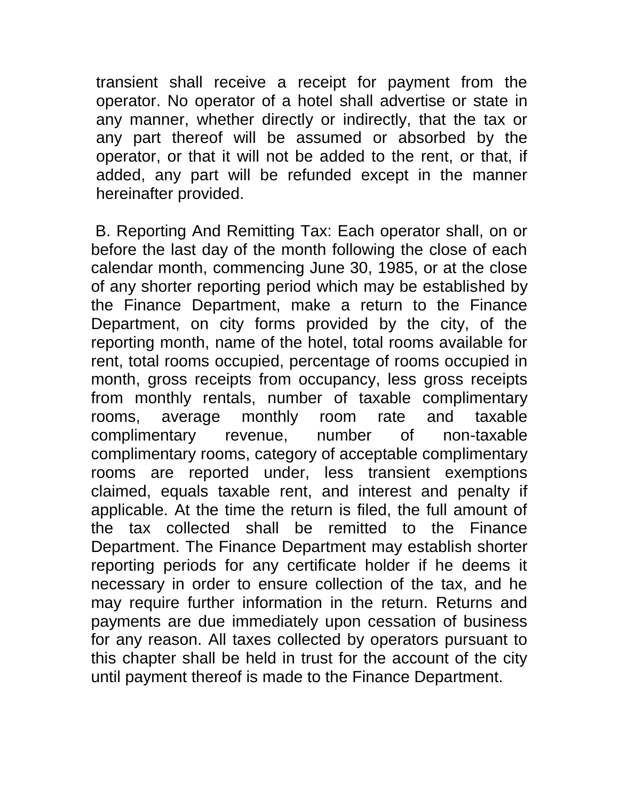transient shall receive a receipt for payment from the operator. No operator of a hotel shall advertise or state in any manner, whether directly or indirectly, that the tax or any part thereof will be assumed or absorbed by the operator, or that it will not be added to the rent, or that, if added, any part will be refunded except in the manner hereinafter provided.

B. Reporting And Remitting Tax: Each operator shall, on or before the last day of the month following the close of each calendar month, commencing June 30, 1985, or at the close of any shorter reporting period which may be established by the Finance Department, make a return to the Finance Department, on city forms provided by the city, of the reporting month, name of the hotel, total rooms available for rent, total rooms occupied, percentage of rooms occupied in month, gross receipts from occupancy, less gross receipts from monthly rentals, number of taxable complimentary rooms, average monthly room rate and taxable complimentary revenue, number of non-taxable complimentary rooms, category of acceptable complimentary rooms are reported under, less transient exemptions claimed, equals taxable rent, and interest and penalty if applicable. At the time the return is filed, the full amount of the tax collected shall be remitted to the Finance Department. The Finance Department may establish shorter reporting periods for any certificate holder if he deems it necessary in order to ensure collection of the tax, and he may require further information in the return. Returns and payments are due immediately upon cessation of business for any reason. All taxes collected by operators pursuant to this chapter shall be held in trust for the account of the city until payment thereof is made to the Finance Department.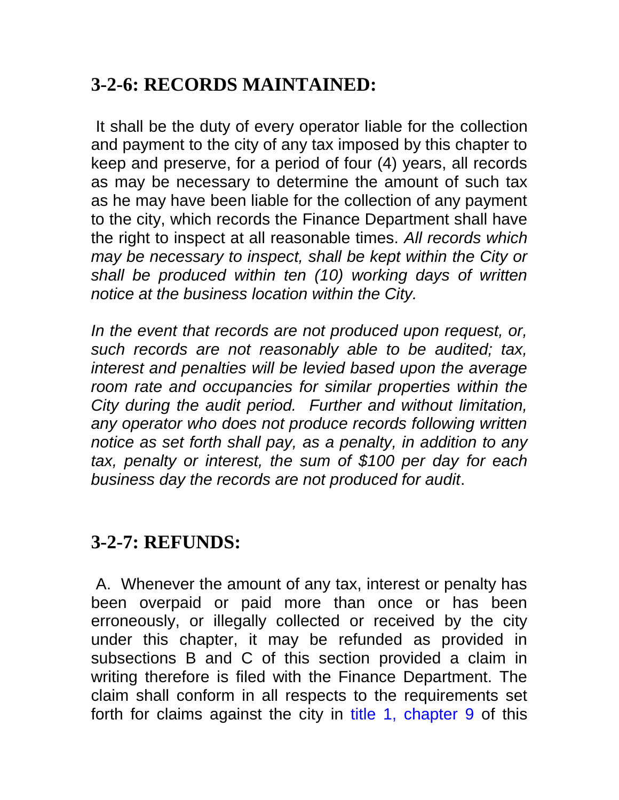# **3-2-6: RECORDS MAINTAINED:**

It shall be the duty of every operator liable for the collection and payment to the city of any tax imposed by this chapter to keep and preserve, for a period of four (4) years, all records as may be necessary to determine the amount of such tax as he may have been liable for the collection of any payment to the city, which records the Finance Department shall have the right to inspect at all reasonable times. *All records which may be necessary to inspect, shall be kept within the City or shall be produced within ten (10) working days of written notice at the business location within the City.*

In the event that records are not produced upon request, or, *such records are not reasonably able to be audited; tax, interest and penalties will be levied based upon the average room rate and occupancies for similar properties within the City during the audit period. Further and without limitation, any operator who does not produce records following written notice as set forth shall pay, as a penalty, in addition to any tax, penalty or interest, the sum of \$100 per day for each business day the records are not produced for audit*.

### **3-2-7: REFUNDS:**

A. Whenever the amount of any tax, interest or penalty has been overpaid or paid more than once or has been erroneously, or illegally collected or received by the city under this chapter, it may be refunded as provided in subsections B and C of this section provided a claim in writing therefore is filed with the Finance Department. The claim shall conform in all respects to the requirements set forth for claims against the city in [title 1, chapter 9 o](http://66.113.195.234/CA/Solvang/02009000000000000.htm#1-9)f this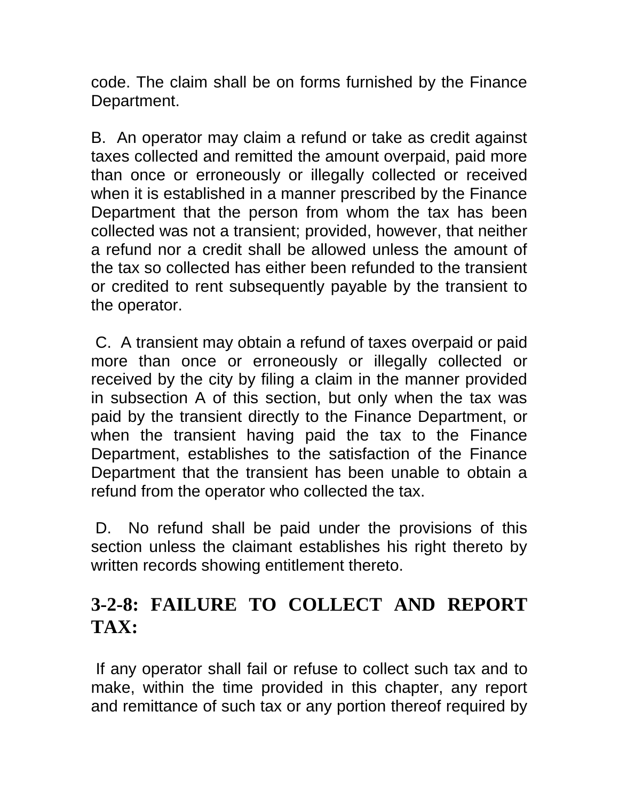code. The claim shall be on forms furnished by the Finance Department.

B. An operator may claim a refund or take as credit against taxes collected and remitted the amount overpaid, paid more than once or erroneously or illegally collected or received when it is established in a manner prescribed by the Finance Department that the person from whom the tax has been collected was not a transient; provided, however, that neither a refund nor a credit shall be allowed unless the amount of the tax so collected has either been refunded to the transient or credited to rent subsequently payable by the transient to the operator.

C. A transient may obtain a refund of taxes overpaid or paid more than once or erroneously or illegally collected or received by the city by filing a claim in the manner provided in subsection A of this section, but only when the tax was paid by the transient directly to the Finance Department, or when the transient having paid the tax to the Finance Department, establishes to the satisfaction of the Finance Department that the transient has been unable to obtain a refund from the operator who collected the tax.

D. No refund shall be paid under the provisions of this section unless the claimant establishes his right thereto by written records showing entitlement thereto.

## **3-2-8: FAILURE TO COLLECT AND REPORT TAX:**

If any operator shall fail or refuse to collect such tax and to make, within the time provided in this chapter, any report and remittance of such tax or any portion thereof required by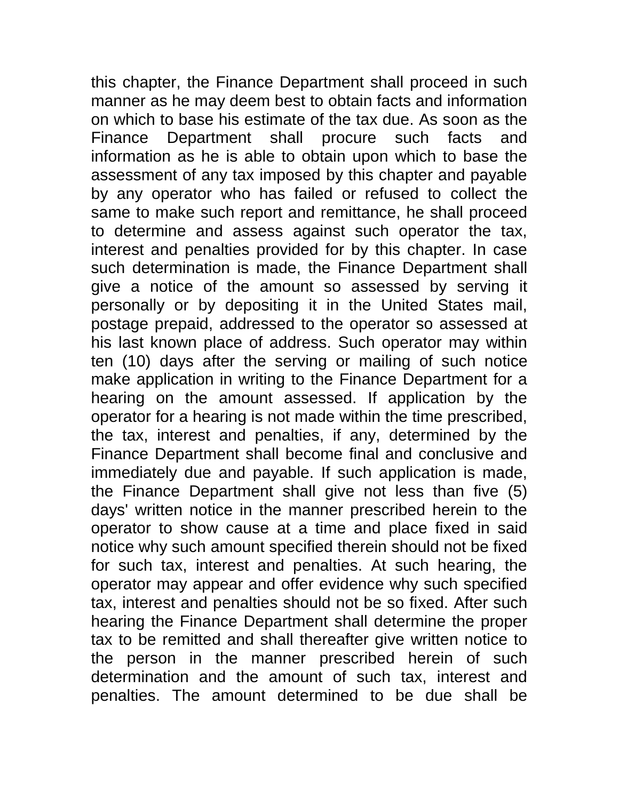this chapter, the Finance Department shall proceed in such manner as he may deem best to obtain facts and information on which to base his estimate of the tax due. As soon as the Finance Department shall procure such facts and information as he is able to obtain upon which to base the assessment of any tax imposed by this chapter and payable by any operator who has failed or refused to collect the same to make such report and remittance, he shall proceed to determine and assess against such operator the tax, interest and penalties provided for by this chapter. In case such determination is made, the Finance Department shall give a notice of the amount so assessed by serving it personally or by depositing it in the United States mail, postage prepaid, addressed to the operator so assessed at his last known place of address. Such operator may within ten (10) days after the serving or mailing of such notice make application in writing to the Finance Department for a hearing on the amount assessed. If application by the operator for a hearing is not made within the time prescribed, the tax, interest and penalties, if any, determined by the Finance Department shall become final and conclusive and immediately due and payable. If such application is made, the Finance Department shall give not less than five (5) days' written notice in the manner prescribed herein to the operator to show cause at a time and place fixed in said notice why such amount specified therein should not be fixed for such tax, interest and penalties. At such hearing, the operator may appear and offer evidence why such specified tax, interest and penalties should not be so fixed. After such hearing the Finance Department shall determine the proper tax to be remitted and shall thereafter give written notice to the person in the manner prescribed herein of such determination and the amount of such tax, interest and penalties. The amount determined to be due shall be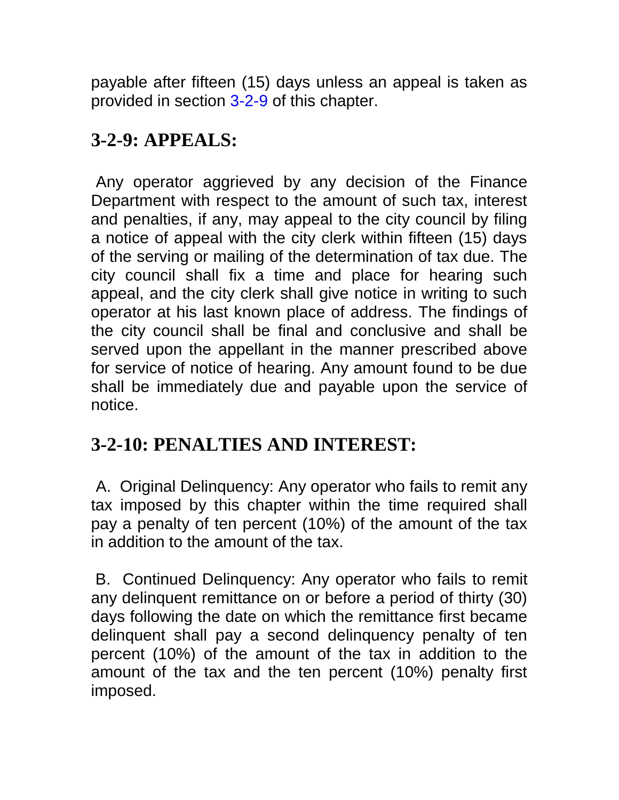payable after fifteen (15) days unless an appeal is taken as provided in section [3-2-9 o](http://66.113.195.234/CA/Solvang/04002000000009000.htm#3-2-9)f this chapter.

# **3-2-9: APPEALS:**

Any operator aggrieved by any decision of the Finance Department with respect to the amount of such tax, interest and penalties, if any, may appeal to the city council by filing a notice of appeal with the city clerk within fifteen (15) days of the serving or mailing of the determination of tax due. The city council shall fix a time and place for hearing such appeal, and the city clerk shall give notice in writing to such operator at his last known place of address. The findings of the city council shall be final and conclusive and shall be served upon the appellant in the manner prescribed above for service of notice of hearing. Any amount found to be due shall be immediately due and payable upon the service of notice.

# **3-2-10: PENALTIES AND INTEREST:**

A. Original Delinquency: Any operator who fails to remit any tax imposed by this chapter within the time required shall pay a penalty of ten percent (10%) of the amount of the tax in addition to the amount of the tax.

B. Continued Delinquency: Any operator who fails to remit any delinquent remittance on or before a period of thirty (30) days following the date on which the remittance first became delinquent shall pay a second delinquency penalty of ten percent (10%) of the amount of the tax in addition to the amount of the tax and the ten percent (10%) penalty first imposed.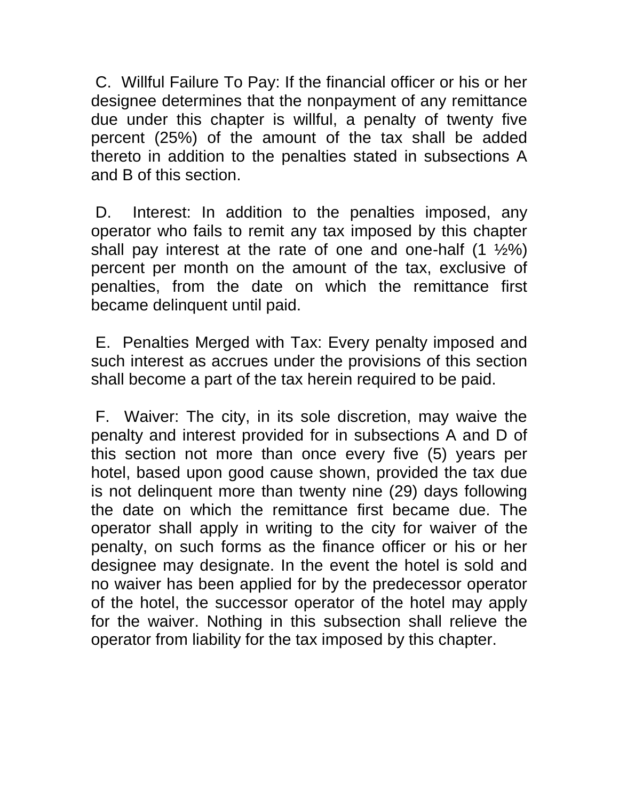C. Willful Failure To Pay: If the financial officer or his or her designee determines that the nonpayment of any remittance due under this chapter is willful, a penalty of twenty five percent (25%) of the amount of the tax shall be added thereto in addition to the penalties stated in subsections A and B of this section.

D. Interest: In addition to the penalties imposed, any operator who fails to remit any tax imposed by this chapter shall pay interest at the rate of one and one-half  $(1 \frac{1}{2}\%)$ percent per month on the amount of the tax, exclusive of penalties, from the date on which the remittance first became delinquent until paid.

E. Penalties Merged with Tax: Every penalty imposed and such interest as accrues under the provisions of this section shall become a part of the tax herein required to be paid.

F. Waiver: The city, in its sole discretion, may waive the penalty and interest provided for in subsections A and D of this section not more than once every five (5) years per hotel, based upon good cause shown, provided the tax due is not delinquent more than twenty nine (29) days following the date on which the remittance first became due. The operator shall apply in writing to the city for waiver of the penalty, on such forms as the finance officer or his or her designee may designate. In the event the hotel is sold and no waiver has been applied for by the predecessor operator of the hotel, the successor operator of the hotel may apply for the waiver. Nothing in this subsection shall relieve the operator from liability for the tax imposed by this chapter.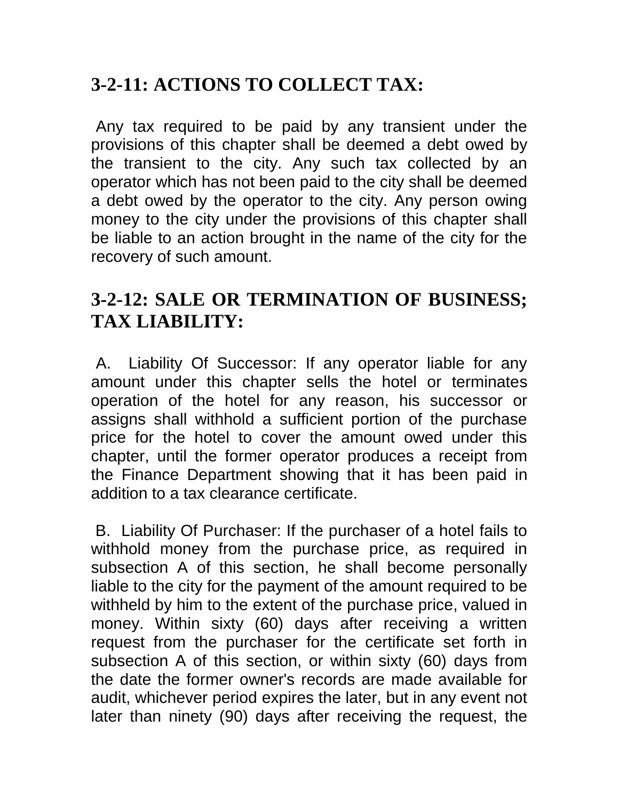# **3-2-11: ACTIONS TO COLLECT TAX:**

Any tax required to be paid by any transient under the provisions of this chapter shall be deemed a debt owed by the transient to the city. Any such tax collected by an operator which has not been paid to the city shall be deemed a debt owed by the operator to the city. Any person owing money to the city under the provisions of this chapter shall be liable to an action brought in the name of the city for the recovery of such amount.

# **3-2-12: SALE OR TERMINATION OF BUSINESS; TAX LIABILITY:**

A. Liability Of Successor: If any operator liable for any amount under this chapter sells the hotel or terminates operation of the hotel for any reason, his successor or assigns shall withhold a sufficient portion of the purchase price for the hotel to cover the amount owed under this chapter, until the former operator produces a receipt from the Finance Department showing that it has been paid in addition to a tax clearance certificate.

B. Liability Of Purchaser: If the purchaser of a hotel fails to withhold money from the purchase price, as required in subsection A of this section, he shall become personally liable to the city for the payment of the amount required to be withheld by him to the extent of the purchase price, valued in money. Within sixty (60) days after receiving a written request from the purchaser for the certificate set forth in subsection A of this section, or within sixty (60) days from the date the former owner's records are made available for audit, whichever period expires the later, but in any event not later than ninety (90) days after receiving the request, the